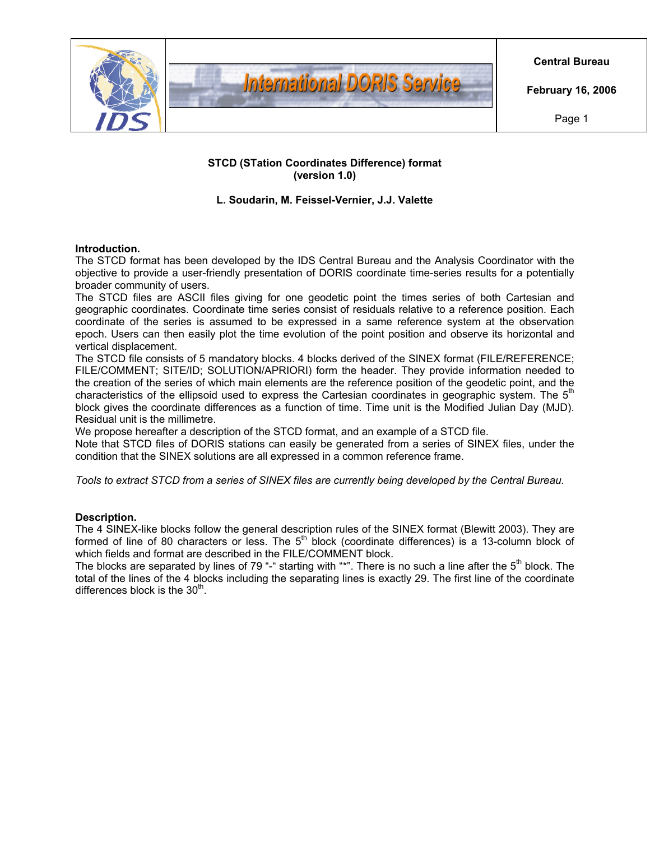

### **STCD (STation Coordinates Difference) format (version 1.0)**

### **L. Soudarin, M. Feissel-Vernier, J.J. Valette**

### **Introduction.**

The STCD format has been developed by the IDS Central Bureau and the Analysis Coordinator with the objective to provide a user-friendly presentation of DORIS coordinate time-series results for a potentially broader community of users.

The STCD files are ASCII files giving for one geodetic point the times series of both Cartesian and geographic coordinates. Coordinate time series consist of residuals relative to a reference position. Each coordinate of the series is assumed to be expressed in a same reference system at the observation epoch. Users can then easily plot the time evolution of the point position and observe its horizontal and vertical displacement.

The STCD file consists of 5 mandatory blocks. 4 blocks derived of the SINEX format (FILE/REFERENCE; FILE/COMMENT; SITE/ID; SOLUTION/APRIORI) form the header. They provide information needed to the creation of the series of which main elements are the reference position of the geodetic point, and the characteristics of the ellipsoid used to express the Cartesian coordinates in geographic system. The  $5<sup>m</sup>$ block gives the coordinate differences as a function of time. Time unit is the Modified Julian Day (MJD). Residual unit is the millimetre.

We propose hereafter a description of the STCD format, and an example of a STCD file.

Note that STCD files of DORIS stations can easily be generated from a series of SINEX files, under the condition that the SINEX solutions are all expressed in a common reference frame.

*Tools to extract STCD from a series of SINEX files are currently being developed by the Central Bureau.* 

#### **Description.**

The 4 SINEX-like blocks follow the general description rules of the SINEX format (Blewitt 2003). They are formed of line of 80 characters or less. The  $5<sup>th</sup>$  block (coordinate differences) is a 13-column block of which fields and format are described in the FILE/COMMENT block.

The blocks are separated by lines of 79 "-" starting with "\*". There is no such a line after the  $5<sup>th</sup>$  block. The total of the lines of the 4 blocks including the separating lines is exactly 29. The first line of the coordinate differences block is the  $30<sup>th</sup>$ .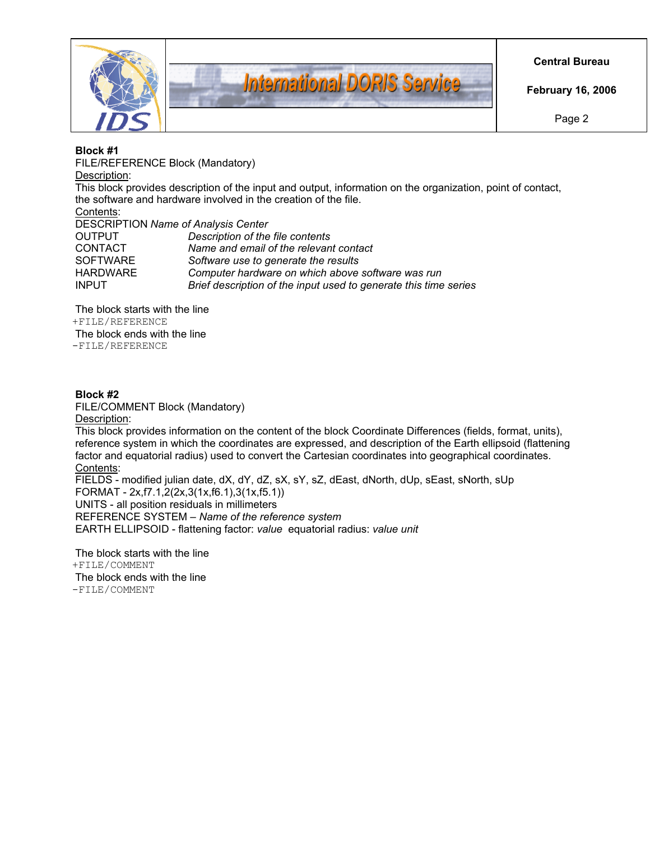



**Central Bureau** 

**February 16, 2006** 

Page 2

#### **Block #1**

FILE/REFERENCE Block (Mandatory) Description: This block provides description of the input and output, information on the organization, point of contact, the software and hardware involved in the creation of the file. Contents: DESCRIPTION *Name of Analysis Center* OUTPUT *Description of the file contents* CONTACT *Name and email of the relevant contact* SOFTWARE *Software use to generate the results* HARDWARE *Computer hardware on which above software was run* INPUT *Brief description of the input used to generate this time series*

The block starts with the line +FILE/REFERENCE The block ends with the line -FILE/REFERENCE

## **Block #2**

FILE/COMMENT Block (Mandatory)

Description:

This block provides information on the content of the block Coordinate Differences (fields, format, units), reference system in which the coordinates are expressed, and description of the Earth ellipsoid (flattening factor and equatorial radius) used to convert the Cartesian coordinates into geographical coordinates. Contents:

FIELDS - modified julian date, dX, dY, dZ, sX, sY, sZ, dEast, dNorth, dUp, sEast, sNorth, sUp FORMAT - 2x,f7.1,2(2x,3(1x,f6.1),3(1x,f5.1)) UNITS - all position residuals in millimeters REFERENCE SYSTEM – *Name of the reference system* EARTH ELLIPSOID - flattening factor: *value* equatorial radius: *value unit*

The block starts with the line +FILE/COMMENT The block ends with the line -FILE/COMMENT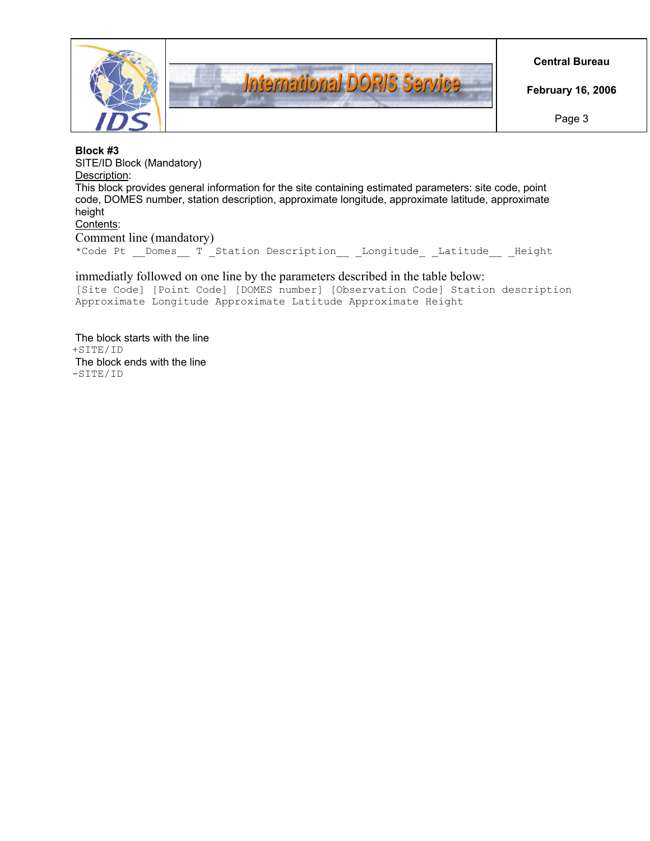



**Central Bureau** 

**February 16, 2006** 

Page 3

#### **Block #3**

SITE/ID Block (Mandatory) Description: This block provides general information for the site containing estimated parameters: site code, point code, DOMES number, station description, approximate longitude, approximate latitude, approximate height Contents:

Comment line (mandatory) \*Code Pt \_ Domes \_ T \_ Station Description \_ \_ Longitude \_ Latitude \_ Height

## immediatly followed on one line by the parameters described in the table below:

[Site Code] [Point Code] [DOMES number] [Observation Code] Station description Approximate Longitude Approximate Latitude Approximate Height

The block starts with the line +SITE/ID The block ends with the line -SITE/ID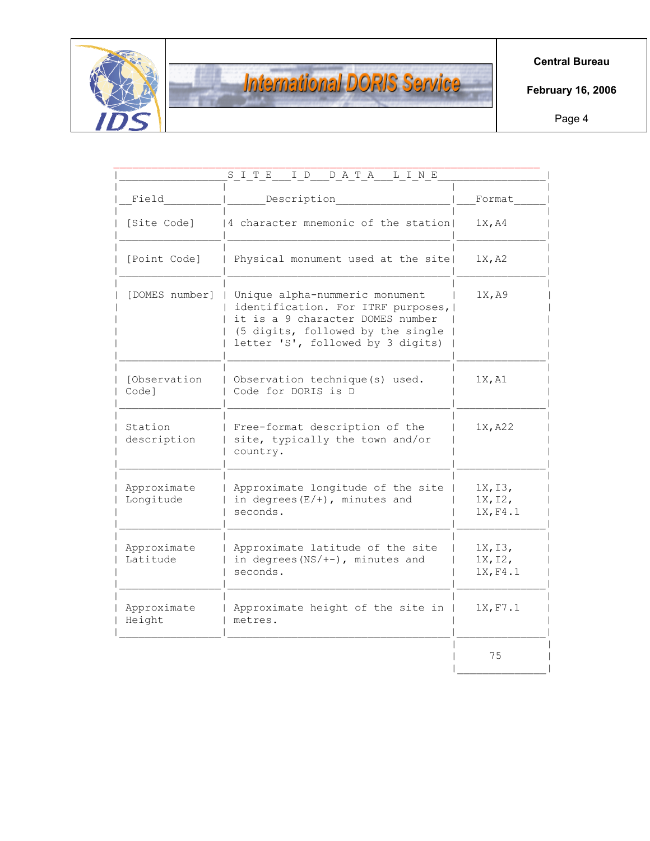

# **International DORIS Service**

**Central Bureau** 

**February 16, 2006** 

Page 4

| Field                    | Description                                                                                                                                                                                           | Format                         |
|--------------------------|-------------------------------------------------------------------------------------------------------------------------------------------------------------------------------------------------------|--------------------------------|
| [Site Code]              | 4 character mnemonic of the station                                                                                                                                                                   | 1X, A4                         |
| [Point Code]             | Physical monument used at the site!                                                                                                                                                                   | 1X, A2                         |
|                          | [DOMES number]   Unique alpha-nummeric monument<br>identification. For ITRF purposes,  <br>it is a 9 character DOMES number<br>(5 digits, followed by the single<br>letter 'S', followed by 3 digits) | 1X, A9                         |
| [Observation<br>Code]    | Observation technique(s) used.<br>Code for DORIS is D                                                                                                                                                 | 1X, A1                         |
| Station<br>description   | Free-format description of the<br>site, typically the town and/or<br>country.                                                                                                                         | 1X, A22                        |
| Approximate<br>Longitude | Approximate longitude of the site  <br>in degrees $(E/+)$ , minutes and<br>seconds.                                                                                                                   | 1X, 13,<br>1X, I2,<br>1X, F4.1 |
| Approximate<br>Latitude  | Approximate latitude of the site<br>in degrees $(NS/+-)$ , minutes and<br>seconds.                                                                                                                    | 1X, I3,<br>1X, I2,<br>1X, F4.1 |
| Approximate<br>Height    | Approximate height of the site in<br>metres.                                                                                                                                                          | 1X, F7.1                       |
|                          |                                                                                                                                                                                                       | 75                             |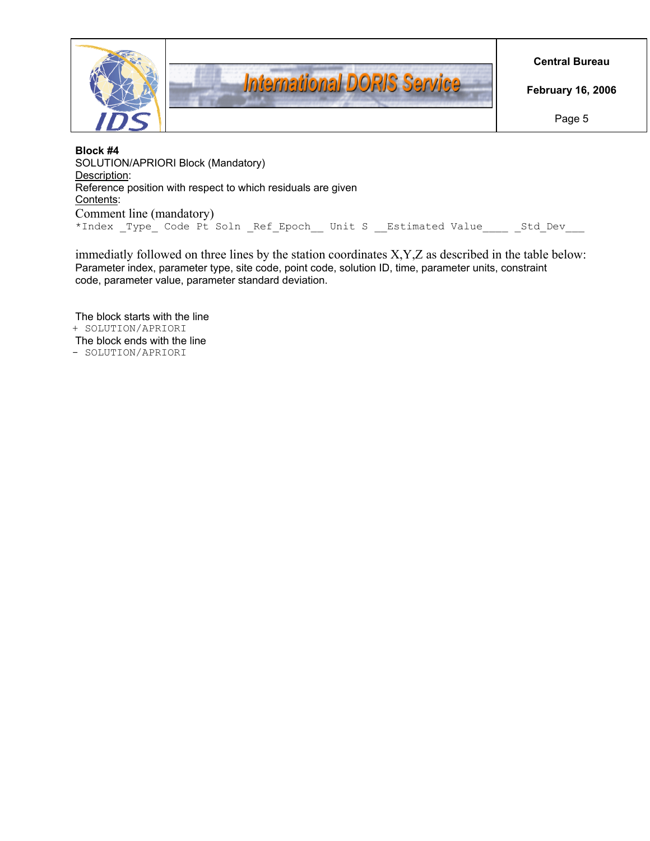

**Block #4**  SOLUTION/APRIORI Block (Mandatory) Description: Reference position with respect to which residuals are given Contents: Comment line (mandatory) \*Index Type Code Pt Soln Ref Epoch Unit S Estimated Value 5td Dev

immediatly followed on three lines by the station coordinates X,Y,Z as described in the table below: Parameter index, parameter type, site code, point code, solution ID, time, parameter units, constraint code, parameter value, parameter standard deviation.

The block starts with the line + SOLUTION/APRIORI The block ends with the line - SOLUTION/APRIORI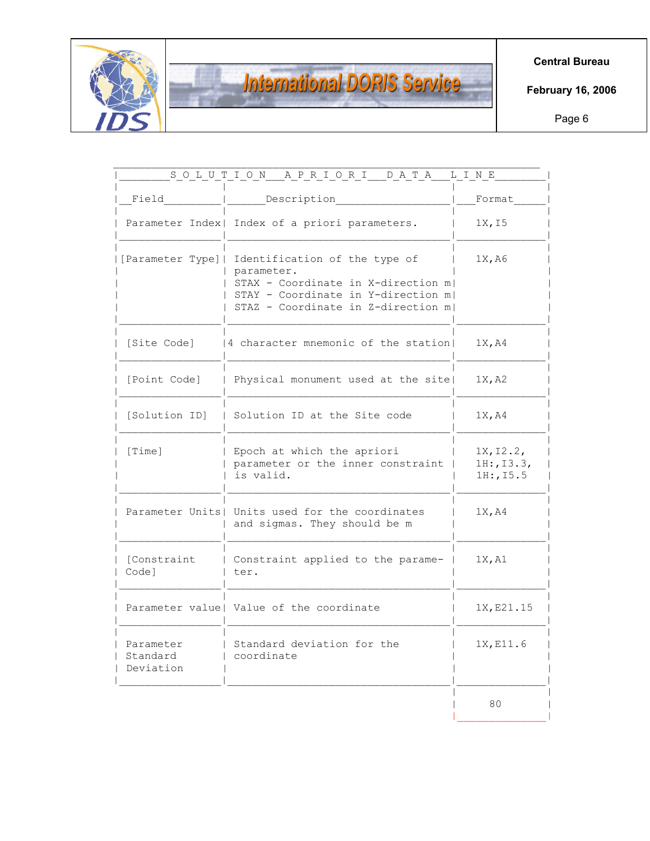

# **International DORIS Service**

**Central Bureau** 

**February 16, 2006** 

Page 6

| Field                              | Description                                                                                                                                                                       | Format                                          |
|------------------------------------|-----------------------------------------------------------------------------------------------------------------------------------------------------------------------------------|-------------------------------------------------|
|                                    | Parameter Index  Index of a priori parameters.                                                                                                                                    | 1X, I5                                          |
|                                    | [Parameter Type]  Identification of the type of<br>parameter.<br>STAX - Coordinate in X-direction m <br>STAY - Coordinate in Y-direction m <br>STAZ - Coordinate in Z-direction m | 1X, A6                                          |
| [Site Code]                        | 4 character mnemonic of the station                                                                                                                                               | 1X, A4                                          |
| [Point Code]                       | Physical monument used at the site                                                                                                                                                | 1X, A2                                          |
| [Solution ID]                      | Solution ID at the Site code                                                                                                                                                      | 1X, A4                                          |
| [Time]                             | Epoch at which the apriori<br>parameter or the inner constraint<br>is valid.                                                                                                      | 1X, 12.2,<br>$1H:$ , $I3.3$ ,<br>$1H:$ , $15.5$ |
|                                    | Parameter Units  Units used for the coordinates<br>and sigmas. They should be m                                                                                                   | 1X, A4                                          |
| [Constraint<br>Code]               | Constraint applied to the parame-<br>ter.                                                                                                                                         | 1X, A1                                          |
|                                    | Parameter value   Value of the coordinate                                                                                                                                         | 1X, E21.15                                      |
| Parameter<br>Standard<br>Deviation | Standard deviation for the<br>coordinate                                                                                                                                          | 1X, E11.6                                       |
|                                    |                                                                                                                                                                                   | 80                                              |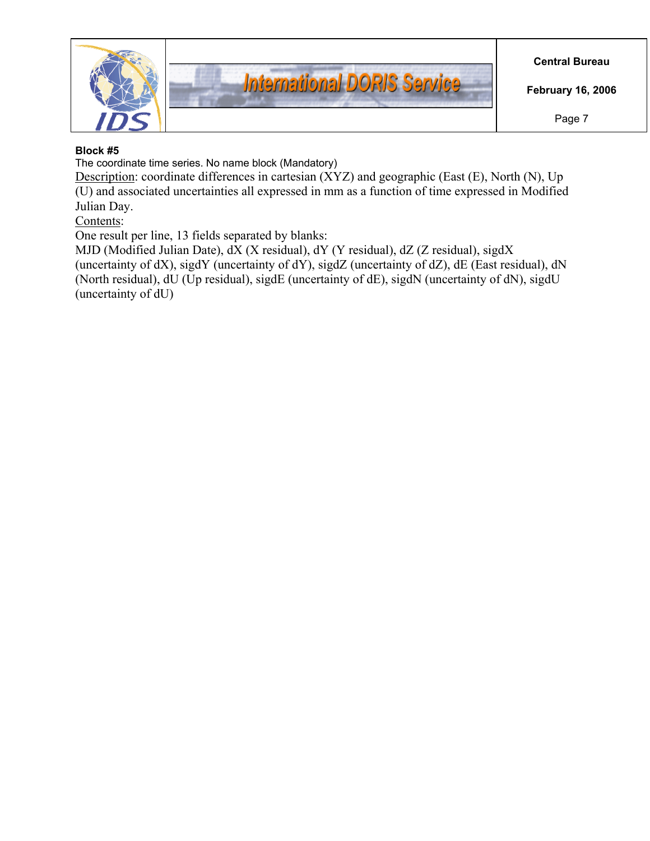

# **Block #5**

The coordinate time series. No name block (Mandatory)

Description: coordinate differences in cartesian (XYZ) and geographic (East (E), North (N), Up (U) and associated uncertainties all expressed in mm as a function of time expressed in Modified Julian Day.

Contents:

One result per line, 13 fields separated by blanks:

MJD (Modified Julian Date), dX (X residual), dY (Y residual), dZ (Z residual), sigdX (uncertainty of dX), sigdY (uncertainty of dY), sigdZ (uncertainty of dZ), dE (East residual), dN (North residual), dU (Up residual), sigdE (uncertainty of dE), sigdN (uncertainty of dN), sigdU (uncertainty of dU)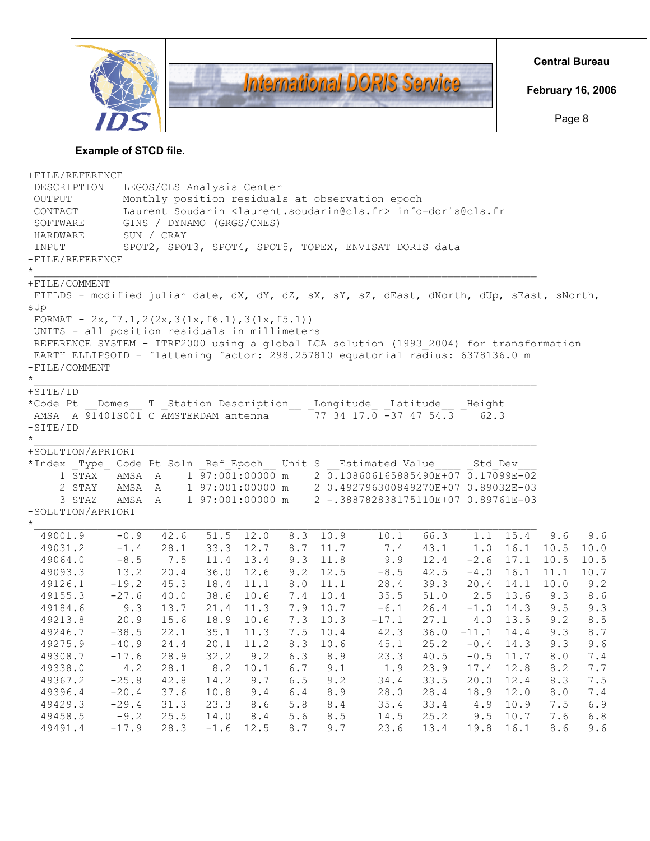

# **Example of STCD file.**

| +FILE/REFERENCE                                                                           |               |                                                                                        |           |      |         |             |                                                             |      |         |                  |             |         |
|-------------------------------------------------------------------------------------------|---------------|----------------------------------------------------------------------------------------|-----------|------|---------|-------------|-------------------------------------------------------------|------|---------|------------------|-------------|---------|
| DESCRIPTION                                                                               |               | LEGOS/CLS Analysis Center                                                              |           |      |         |             |                                                             |      |         |                  |             |         |
| OUTPUT                                                                                    |               | Monthly position residuals at observation epoch                                        |           |      |         |             |                                                             |      |         |                  |             |         |
| CONTACT                                                                                   |               | Laurent Soudarin <laurent.soudarin@cls.fr> info-doris@cls.fr</laurent.soudarin@cls.fr> |           |      |         |             |                                                             |      |         |                  |             |         |
| SOFTWARE                                                                                  |               | GINS / DYNAMO (GRGS/CNES)                                                              |           |      |         |             |                                                             |      |         |                  |             |         |
| HARDWARE                                                                                  |               | SUN / CRAY                                                                             |           |      |         |             |                                                             |      |         |                  |             |         |
| INPUT                                                                                     |               |                                                                                        |           |      |         |             | SPOT2, SPOT3, SPOT4, SPOT5, TOPEX, ENVISAT DORIS data       |      |         |                  |             |         |
| $-FILE/REFERENCE$                                                                         |               |                                                                                        |           |      |         |             |                                                             |      |         |                  |             |         |
| $\star$                                                                                   |               |                                                                                        |           |      |         |             |                                                             |      |         |                  |             |         |
| +FILE/COMMENT                                                                             |               |                                                                                        |           |      |         |             |                                                             |      |         |                  |             |         |
| FIELDS - modified julian date, dX, dY, dZ, sX, sY, sZ, dEast, dNorth, dUp, sEast, sNorth, |               |                                                                                        |           |      |         |             |                                                             |      |         |                  |             |         |
| sUp                                                                                       |               |                                                                                        |           |      |         |             |                                                             |      |         |                  |             |         |
| FORMAT - $2x, f7.1, 2(2x, 3(1x, f6.1), 3(1x, f5.1))$                                      |               |                                                                                        |           |      |         |             |                                                             |      |         |                  |             |         |
| UNITS - all position residuals in millimeters                                             |               |                                                                                        |           |      |         |             |                                                             |      |         |                  |             |         |
| REFERENCE SYSTEM - ITRF2000 using a global LCA solution (1993 2004) for transformation    |               |                                                                                        |           |      |         |             |                                                             |      |         |                  |             |         |
| EARTH ELLIPSOID - flattening factor: 298.257810 equatorial radius: 6378136.0 m            |               |                                                                                        |           |      |         |             |                                                             |      |         |                  |             |         |
| -FILE/COMMENT                                                                             |               |                                                                                        |           |      |         |             |                                                             |      |         |                  |             |         |
| $\star$                                                                                   |               |                                                                                        |           |      |         |             |                                                             |      |         |                  |             |         |
| $+STTE/ID$                                                                                |               |                                                                                        |           |      |         |             |                                                             |      |         |                  |             |         |
| *Code Pt Domes T Station Description Longitude Latitude Height                            |               |                                                                                        |           |      |         |             |                                                             |      |         |                  |             |         |
| AMSA A 91401S001 C AMSTERDAM antenna 77 34 17.0 -37 47 54.3                               |               |                                                                                        |           |      |         |             |                                                             |      | 62.3    |                  |             |         |
| $-SITE/ID$                                                                                |               |                                                                                        |           |      |         |             |                                                             |      |         |                  |             |         |
| $\star$                                                                                   |               |                                                                                        |           |      |         |             |                                                             |      |         |                  |             |         |
| +SOLUTION/APRIORI                                                                         |               |                                                                                        |           |      |         |             |                                                             |      |         |                  |             |         |
| *Index Type Code Pt Soln Ref Epoch Unit S Estimated Value                                 |               |                                                                                        |           |      |         |             |                                                             |      | Std Dev |                  |             |         |
| 1 STAX AMSA A                                                                             |               |                                                                                        |           |      |         |             | 1 97:001:00000 m 2 0.108606165885490E+07 0.17099E-02        |      |         |                  |             |         |
| 2 STAY                                                                                    |               |                                                                                        |           |      |         |             | AMSA A 1 97:001:00000 m 2 0.492796300849270E+07 0.89032E-03 |      |         |                  |             |         |
| 3 STAZ                                                                                    | AMSA A        |                                                                                        |           |      |         |             | 1 97:001:00000 m 2 -.388782838175110E+07 0.89761E-03        |      |         |                  |             |         |
| -SOLUTION/APRIORI                                                                         |               |                                                                                        |           |      |         |             |                                                             |      |         |                  |             |         |
| $\star$                                                                                   |               |                                                                                        |           |      |         |             |                                                             |      |         |                  |             |         |
| 49001.9                                                                                   | $-0.9$        | 42.6                                                                                   | 51.5 12.0 |      |         | 8.3 10.9    | 10.1                                                        | 66.3 |         | $1.1 \quad 15.4$ | 9.6         | 9.6     |
| 49031.2                                                                                   | $-1.4$        | 28.1                                                                                   | 33.3      | 12.7 | 8.7     | 11.7        | 7.4                                                         | 43.1 |         | 1.0 16.1         | 10.5        | 10.0    |
| 49064.0                                                                                   | $-8.5$        | 7.5                                                                                    | 11.4 13.4 |      | 9.3     | 11.8        | 9.9                                                         | 12.4 |         | $-2.6$ 17.1      | 10.5        | 10.5    |
| 49093.3                                                                                   | 13.2          | 20.4                                                                                   | 36.0 12.6 |      | 9.2     | 12.5        | $-8.5$                                                      | 42.5 | $-4.0$  | 16.1             | 11.1        | 10.7    |
| 49126.1                                                                                   | $-19.2$       | 45.3                                                                                   | 18.4 11.1 |      | 8.0     | 11.1        | 28.4                                                        | 39.3 |         | $20.4$ 14.1      | 10.0        | 9.2     |
| 49155.3                                                                                   | $-27.6$       | 40.0                                                                                   | 38.6 10.6 |      |         | 7.4 10.4    | 35.5                                                        | 51.0 |         | $2.5$ 13.6       | 9.3         | 8.6     |
| 49184.6                                                                                   | 9.3           | 13.7                                                                                   | 21.4 11.3 |      |         | 7.9 10.7    | $-6.1$                                                      | 26.4 | $-1.0$  | 14.3             | 9.5         | 9.3     |
| 49213.8                                                                                   | 20.9          | 15.6                                                                                   | 18.9 10.6 |      |         | $7.3$ 10.3  | $-17.1$ 27.1                                                |      | 4.0     | 13.5             | 9.2         | 8.5     |
| 49246.7                                                                                   | $-38.5$       | 22.1                                                                                   | 35.1      | 11.3 |         | 7.5 10.4    | 42.3                                                        | 36.0 | $-11.1$ | 14.4             | 9.3         | 8.7     |
| 49275.9                                                                                   | $-40.9$       | 24.4                                                                                   | 20.1 11.2 |      | 8.3     | 10.6        | 45.1                                                        | 25.2 |         | $-0.4$ 14.3      | 9.3         | 9.6     |
| 49308.7                                                                                   | $-17.6$       | 28.9                                                                                   | 32.2      | 9.2  | 6.3     | 8.9         | 23.3                                                        | 40.5 | $-0.5$  | 11.7             | $\,8$ . $0$ | 7.4     |
| 49338.0                                                                                   | $4\,\ldotp 2$ | 28.1                                                                                   | 8.2       | 10.1 | $6.7$   | 9.1         | 1.9                                                         | 23.9 | 17.4    | 12.8             | 8.2         | 7.7     |
| 49367.2                                                                                   | $-25.8$       | 42.8                                                                                   | 14.2      | 9.7  | $6.5$   | 9.2         | 34.4                                                        | 33.5 | 20.0    | 12.4             | 8.3         | $7.5$   |
| 49396.4                                                                                   | $-20.4$       | 37.6                                                                                   | 10.8      | 9.4  | $6.4\,$ | 8.9         | 28.0                                                        | 28.4 | 18.9    | 12.0             | $\,8$ . $0$ | $7\,.4$ |
| 49429.3                                                                                   | $-29.4$       | 31.3                                                                                   | 23.3      | 8.6  | $5.8$   | $\,8$ . $4$ | 35.4                                                        | 33.4 | 4.9     | 10.9             | 7.5         | 6.9     |
| 49458.5                                                                                   | $-9.2$        | 25.5                                                                                   | 14.0      | 8.4  | $5.6$   | $8\,.5$     | 14.5                                                        | 25.2 | 9.5     | 10.7             | 7.6         | $6.8$   |
| 49491.4                                                                                   | $-17.9$       | 28.3                                                                                   | $-1.6$    | 12.5 | $8.7\,$ | 9.7         | 23.6                                                        | 13.4 | 19.8    | 16.1             | 8.6         | 9.6     |
|                                                                                           |               |                                                                                        |           |      |         |             |                                                             |      |         |                  |             |         |